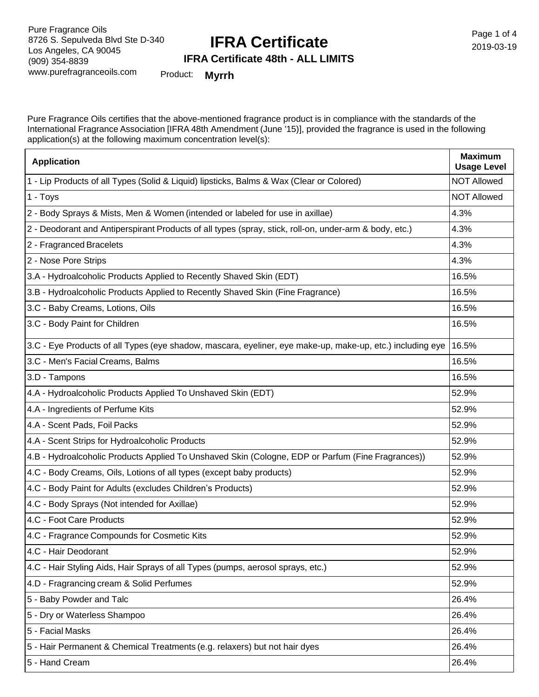### **IFRA Certificate**

Page 1 of 4 2019-03-19

#### **IFRA Certificate 48th - ALL LIMITS**

Product: **Myrrh**

Pure Fragrance Oils certifies that the above-mentioned fragrance product is in compliance with the standards of the International Fragrance Association [IFRA 48th Amendment (June '15)], provided the fragrance is used in the following application(s) at the following maximum concentration level(s):

| <b>Application</b>                                                                                        | <b>Maximum</b><br><b>Usage Level</b> |
|-----------------------------------------------------------------------------------------------------------|--------------------------------------|
| 1 - Lip Products of all Types (Solid & Liquid) lipsticks, Balms & Wax (Clear or Colored)                  | <b>NOT Allowed</b>                   |
| 1 - Toys                                                                                                  | <b>NOT Allowed</b>                   |
| 2 - Body Sprays & Mists, Men & Women (intended or labeled for use in axillae)                             | 4.3%                                 |
| 2 - Deodorant and Antiperspirant Products of all types (spray, stick, roll-on, under-arm & body, etc.)    | 4.3%                                 |
| 2 - Fragranced Bracelets                                                                                  | 4.3%                                 |
| 2 - Nose Pore Strips                                                                                      | 4.3%                                 |
| 3.A - Hydroalcoholic Products Applied to Recently Shaved Skin (EDT)                                       | 16.5%                                |
| 3.B - Hydroalcoholic Products Applied to Recently Shaved Skin (Fine Fragrance)                            | 16.5%                                |
| 3.C - Baby Creams, Lotions, Oils                                                                          | 16.5%                                |
| 3.C - Body Paint for Children                                                                             | 16.5%                                |
| 3.C - Eye Products of all Types (eye shadow, mascara, eyeliner, eye make-up, make-up, etc.) including eye | 16.5%                                |
| 3.C - Men's Facial Creams, Balms                                                                          | 16.5%                                |
| 3.D - Tampons                                                                                             | 16.5%                                |
| 4.A - Hydroalcoholic Products Applied To Unshaved Skin (EDT)                                              | 52.9%                                |
| 4.A - Ingredients of Perfume Kits                                                                         | 52.9%                                |
| 4.A - Scent Pads, Foil Packs                                                                              | 52.9%                                |
| 4.A - Scent Strips for Hydroalcoholic Products                                                            | 52.9%                                |
| 4.B - Hydroalcoholic Products Applied To Unshaved Skin (Cologne, EDP or Parfum (Fine Fragrances))         | 52.9%                                |
| 4.C - Body Creams, Oils, Lotions of all types (except baby products)                                      | 52.9%                                |
| 4.C - Body Paint for Adults (excludes Children's Products)                                                | 52.9%                                |
| 4.C - Body Sprays (Not intended for Axillae)                                                              | 52.9%                                |
| 4.C - Foot Care Products                                                                                  | 52.9%                                |
| 4.C - Fragrance Compounds for Cosmetic Kits                                                               | 52.9%                                |
| 4.C - Hair Deodorant                                                                                      | 52.9%                                |
| 4.C - Hair Styling Aids, Hair Sprays of all Types (pumps, aerosol sprays, etc.)                           | 52.9%                                |
| 4.D - Fragrancing cream & Solid Perfumes                                                                  | 52.9%                                |
| 5 - Baby Powder and Talc                                                                                  | 26.4%                                |
| 5 - Dry or Waterless Shampoo                                                                              | 26.4%                                |
| 5 - Facial Masks                                                                                          | 26.4%                                |
| 5 - Hair Permanent & Chemical Treatments (e.g. relaxers) but not hair dyes                                | 26.4%                                |
| 5 - Hand Cream                                                                                            | 26.4%                                |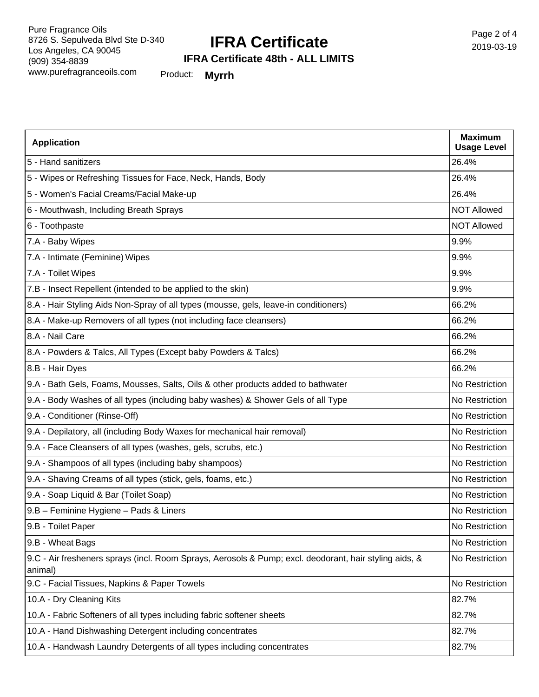#### **IFRA Certificate**

**IFRA Certificate 48th - ALL LIMITS**

Product: **Myrrh**

| <b>Application</b>                                                                                                | <b>Maximum</b><br><b>Usage Level</b> |
|-------------------------------------------------------------------------------------------------------------------|--------------------------------------|
| 5 - Hand sanitizers                                                                                               | 26.4%                                |
| 5 - Wipes or Refreshing Tissues for Face, Neck, Hands, Body                                                       | 26.4%                                |
| 5 - Women's Facial Creams/Facial Make-up                                                                          | 26.4%                                |
| 6 - Mouthwash, Including Breath Sprays                                                                            | <b>NOT Allowed</b>                   |
| 6 - Toothpaste                                                                                                    | <b>NOT Allowed</b>                   |
| 7.A - Baby Wipes                                                                                                  | 9.9%                                 |
| 7.A - Intimate (Feminine) Wipes                                                                                   | 9.9%                                 |
| 7.A - Toilet Wipes                                                                                                | 9.9%                                 |
| 7.B - Insect Repellent (intended to be applied to the skin)                                                       | 9.9%                                 |
| 8.A - Hair Styling Aids Non-Spray of all types (mousse, gels, leave-in conditioners)                              | 66.2%                                |
| 8.A - Make-up Removers of all types (not including face cleansers)                                                | 66.2%                                |
| 8.A - Nail Care                                                                                                   | 66.2%                                |
| 8.A - Powders & Talcs, All Types (Except baby Powders & Talcs)                                                    | 66.2%                                |
| 8.B - Hair Dyes                                                                                                   | 66.2%                                |
| 9.A - Bath Gels, Foams, Mousses, Salts, Oils & other products added to bathwater                                  | No Restriction                       |
| 9.A - Body Washes of all types (including baby washes) & Shower Gels of all Type                                  | No Restriction                       |
| 9.A - Conditioner (Rinse-Off)                                                                                     | No Restriction                       |
| 9.A - Depilatory, all (including Body Waxes for mechanical hair removal)                                          | No Restriction                       |
| 9.A - Face Cleansers of all types (washes, gels, scrubs, etc.)                                                    | No Restriction                       |
| 9.A - Shampoos of all types (including baby shampoos)                                                             | No Restriction                       |
| 9.A - Shaving Creams of all types (stick, gels, foams, etc.)                                                      | No Restriction                       |
| 9.A - Soap Liquid & Bar (Toilet Soap)                                                                             | No Restriction                       |
| 9.B - Feminine Hygiene - Pads & Liners                                                                            | No Restriction                       |
| 9.B - Toilet Paper                                                                                                | No Restriction                       |
| 9.B - Wheat Bags                                                                                                  | No Restriction                       |
| 9.C - Air fresheners sprays (incl. Room Sprays, Aerosols & Pump; excl. deodorant, hair styling aids, &<br>animal) | No Restriction                       |
| 9.C - Facial Tissues, Napkins & Paper Towels                                                                      | No Restriction                       |
| 10.A - Dry Cleaning Kits                                                                                          | 82.7%                                |
| 10.A - Fabric Softeners of all types including fabric softener sheets                                             | 82.7%                                |
| 10.A - Hand Dishwashing Detergent including concentrates                                                          | 82.7%                                |
| 10.A - Handwash Laundry Detergents of all types including concentrates                                            | 82.7%                                |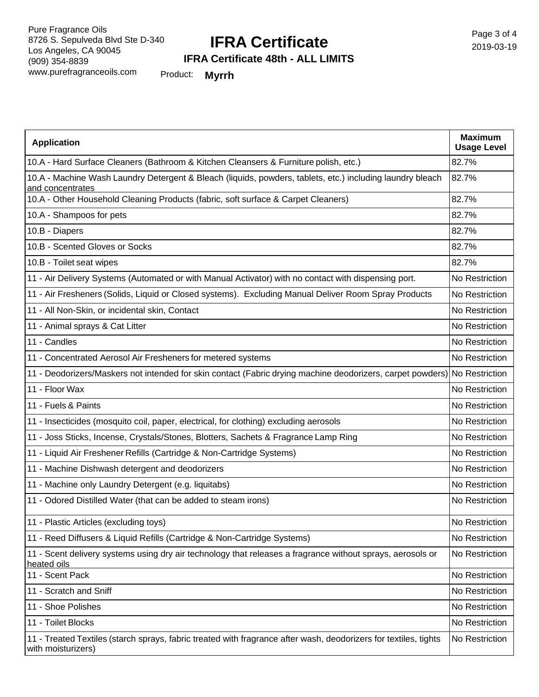## **IFRA Certificate**

**IFRA Certificate 48th - ALL LIMITS**

Product: **Myrrh**

| <b>Application</b>                                                                                                                     | <b>Maximum</b><br><b>Usage Level</b> |
|----------------------------------------------------------------------------------------------------------------------------------------|--------------------------------------|
| 10.A - Hard Surface Cleaners (Bathroom & Kitchen Cleansers & Furniture polish, etc.)                                                   | 82.7%                                |
| 10.A - Machine Wash Laundry Detergent & Bleach (liquids, powders, tablets, etc.) including laundry bleach<br>and concentrates          | 82.7%                                |
| 10.A - Other Household Cleaning Products (fabric, soft surface & Carpet Cleaners)                                                      | 82.7%                                |
| 10.A - Shampoos for pets                                                                                                               | 82.7%                                |
| 10.B - Diapers                                                                                                                         | 82.7%                                |
| 10.B - Scented Gloves or Socks                                                                                                         | 82.7%                                |
| 10.B - Toilet seat wipes                                                                                                               | 82.7%                                |
| 11 - Air Delivery Systems (Automated or with Manual Activator) with no contact with dispensing port.                                   | No Restriction                       |
| 11 - Air Fresheners (Solids, Liquid or Closed systems). Excluding Manual Deliver Room Spray Products                                   | No Restriction                       |
| 11 - All Non-Skin, or incidental skin, Contact                                                                                         | No Restriction                       |
| 11 - Animal sprays & Cat Litter                                                                                                        | No Restriction                       |
| 11 - Candles                                                                                                                           | No Restriction                       |
| 11 - Concentrated Aerosol Air Fresheners for metered systems                                                                           | No Restriction                       |
| 11 - Deodorizers/Maskers not intended for skin contact (Fabric drying machine deodorizers, carpet powders) No Restriction              |                                      |
| 11 - Floor Wax                                                                                                                         | No Restriction                       |
| 11 - Fuels & Paints                                                                                                                    | No Restriction                       |
| 11 - Insecticides (mosquito coil, paper, electrical, for clothing) excluding aerosols                                                  | No Restriction                       |
| 11 - Joss Sticks, Incense, Crystals/Stones, Blotters, Sachets & Fragrance Lamp Ring                                                    | No Restriction                       |
| 11 - Liquid Air Freshener Refills (Cartridge & Non-Cartridge Systems)                                                                  | No Restriction                       |
| 11 - Machine Dishwash detergent and deodorizers                                                                                        | No Restriction                       |
| 11 - Machine only Laundry Detergent (e.g. liquitabs)                                                                                   | No Restriction                       |
| 11 - Odored Distilled Water (that can be added to steam irons)                                                                         | No Restriction                       |
| 11 - Plastic Articles (excluding toys)                                                                                                 | No Restriction                       |
| 11 - Reed Diffusers & Liquid Refills (Cartridge & Non-Cartridge Systems)                                                               | No Restriction                       |
| 11 - Scent delivery systems using dry air technology that releases a fragrance without sprays, aerosols or<br>heated oils              | No Restriction                       |
| 11 - Scent Pack                                                                                                                        | No Restriction                       |
| 11 - Scratch and Sniff                                                                                                                 | No Restriction                       |
| 11 - Shoe Polishes                                                                                                                     | No Restriction                       |
| 11 - Toilet Blocks                                                                                                                     | No Restriction                       |
| 11 - Treated Textiles (starch sprays, fabric treated with fragrance after wash, deodorizers for textiles, tights<br>with moisturizers) | No Restriction                       |